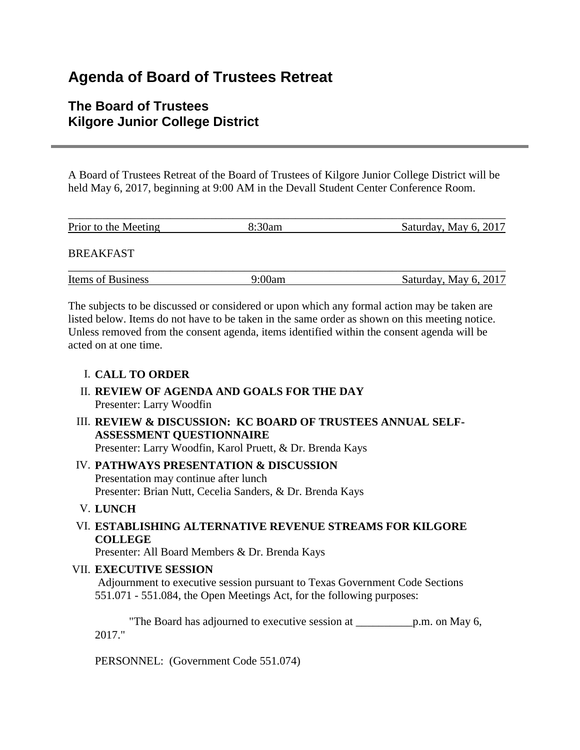# **Agenda of Board of Trustees Retreat**

# **The Board of Trustees Kilgore Junior College District**

A Board of Trustees Retreat of the Board of Trustees of Kilgore Junior College District will be held May 6, 2017, beginning at 9:00 AM in the Devall Student Center Conference Room.

| Prior to the Meeting | 8:30am | Saturday, May 6, 2017 |
|----------------------|--------|-----------------------|
| <b>BREAKFAST</b>     |        |                       |
| Items of Business    | 9:00am | Saturday, May 6, 2017 |

The subjects to be discussed or considered or upon which any formal action may be taken are listed below. Items do not have to be taken in the same order as shown on this meeting notice. Unless removed from the consent agenda, items identified within the consent agenda will be acted on at one time.

# I. **CALL TO ORDER**

- II. **REVIEW OF AGENDA AND GOALS FOR THE DAY** Presenter: Larry Woodfin
- III. **REVIEW & DISCUSSION: KC BOARD OF TRUSTEES ANNUAL SELF-ASSESSMENT QUESTIONNAIRE** Presenter: Larry Woodfin, Karol Pruett, & Dr. Brenda Kays
- IV. **PATHWAYS PRESENTATION & DISCUSSION** Presentation may continue after lunch Presenter: Brian Nutt, Cecelia Sanders, & Dr. Brenda Kays
- V. **LUNCH**

# VI. **ESTABLISHING ALTERNATIVE REVENUE STREAMS FOR KILGORE COLLEGE**

Presenter: All Board Members & Dr. Brenda Kays

#### VII. **EXECUTIVE SESSION**

Adjournment to executive session pursuant to Texas Government Code Sections 551.071 - 551.084, the Open Meetings Act, for the following purposes:

 "The Board has adjourned to executive session at \_\_\_\_\_\_\_\_\_\_p.m. on May 6, 2017."

PERSONNEL: (Government Code 551.074)